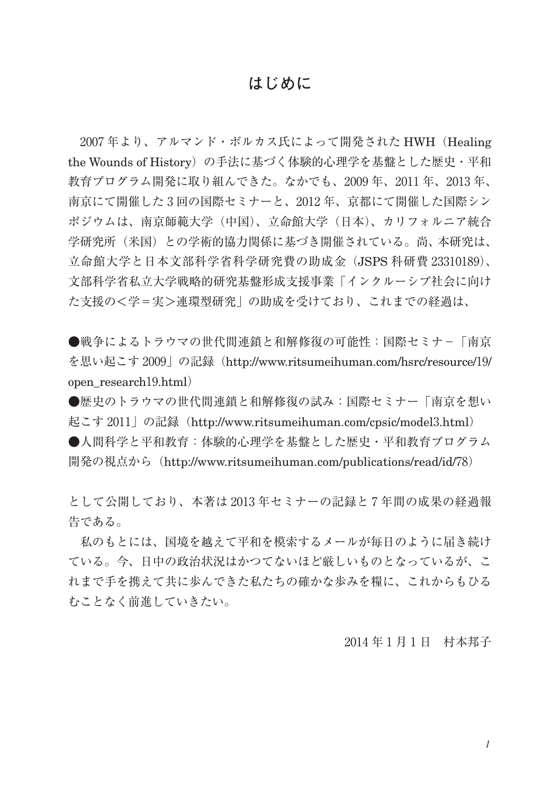## **はじめに**

2007 年より、アルマンド・ボルカス氏によって開発された HWH(Healing the Wounds of History)の手法に基づく体験的心理学を基盤とした歴史·平和 教育プログラム開発に取り組んできた。なかでも、2009 年、2011 年、2013 年、 南京にて開催した 3 回の国際セミナーと、2012 年、京都にて開催した国際シン ポジウムは、南京師範大学(中国)、立命館大学(日本)、カリフォルニア統合 学研究所(米国)との学術的協力関係に基づき開催されている。尚、本研究は、 立命館大学と日本文部科学省科学研究費の助成金(JSPS 科研費 23310189)、 文部科学省私立大学戦略的研究基盤形成支援事業「インクルーシブ社会に向け た支援の<学=実>連環型研究」の助成を受けており、これまでの経過は、

●戦争によるトラウマの世代間連鎖と和解修復の可能性:国際セミナ-「南京 を思い起こす 2009」の記録(http://www.ritsumeihuman.com/hsrc/resource/19/ open\_research19.html)

●歴史のトラウマの世代間連鎖と和解修復の試み:国際セミナー「南京を想い 起こす 2011」の記録(http://www.ritsumeihuman.com/cpsic/model3.html) ●人間科学と平和教育:体験的心理学を基盤とした歴史·平和教育プログラム 開発の視点から(http://www.ritsumeihuman.com/publications/read/id/78)

として公開しており、本著は 2013 年セミナーの記録と 7 年間の成果の経過報 告である。

私のもとには、国境を越えて平和を模索するメールが毎日のように届き続け ている。今、日中の政治状況はかつてないほど厳しいものとなっているが、こ れまで手を携えて共に歩んできた私たちの確かな歩みを糧に、これからもひる むことなく前進していきたい。

2014 年1月1 日 村本邦子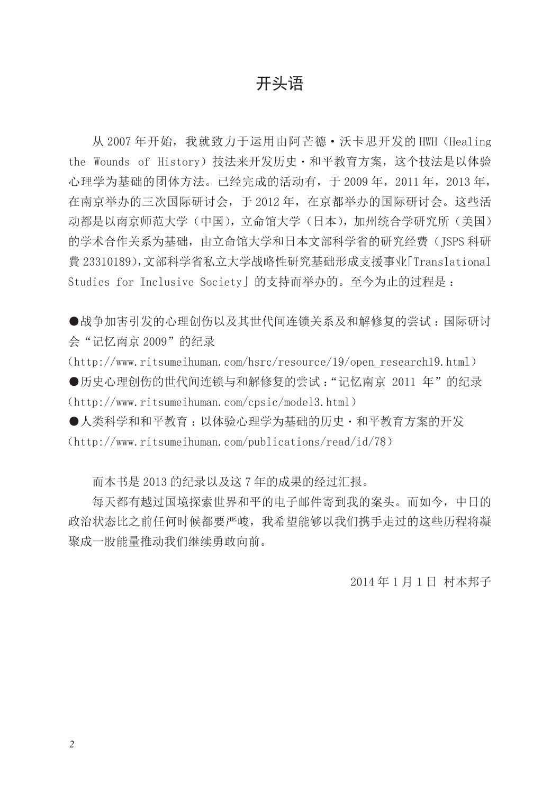## 开头语

从 2007 年开始,我就致力于运用由阿芒德·沃卡思开发的 HWH (Healing the Wounds of History)技法来开发历史·和平教育方案,这个技法是以体验 心理学为基础的团体方法。已经完成的活动有,于 2009 年,2011 年,2013 年, 在南京举办的三次国际研讨会,于 2012 年,在京都举办的国际研讨会。这些活 动都是以南京师范大学(中国),立命馆大学(日本),加州统合学研究所(美国) 的学术合作关系为基础,由立命馆大学和日本文部科学省的研究经费(JSPS 科研 費 23310189),文部科学省私立大学战略性研究基础形成支援事业「Translational Studies for Inclusive Society」的支持而举办的。至今为止的过程是 :

●战争加害引发的心理创伤以及其世代间连锁关系及和解修复的尝试 :国际研讨 会"记忆南京 2009"的纪录

(http://www.ritsumeihuman.com/hsrc/resource/19/open\_research19.html) ●历史心理创伤的世代间连锁与和解修复的尝试:"记忆南京 2011 年"的纪录 (http://www.ritsumeihuman.com/cpsic/model3.html)

●人类科学和和平教育 :以体验心理学为基础的历史・和平教育方案的开发 (http://www.ritsumeihuman.com/publications/read/id/78)

而本书是 2013 的纪录以及这 7 年的成果的经过汇报。

每天都有越过国境探索世界和平的电子邮件寄到我的案头。而如今,中日的 政治状态比之前任何时候都要严峻,我希望能够以我们携手走过的这些历程将凝 聚成一股能量推动我们继续勇敢向前。

2014 年 1 月 1 日 村本邦子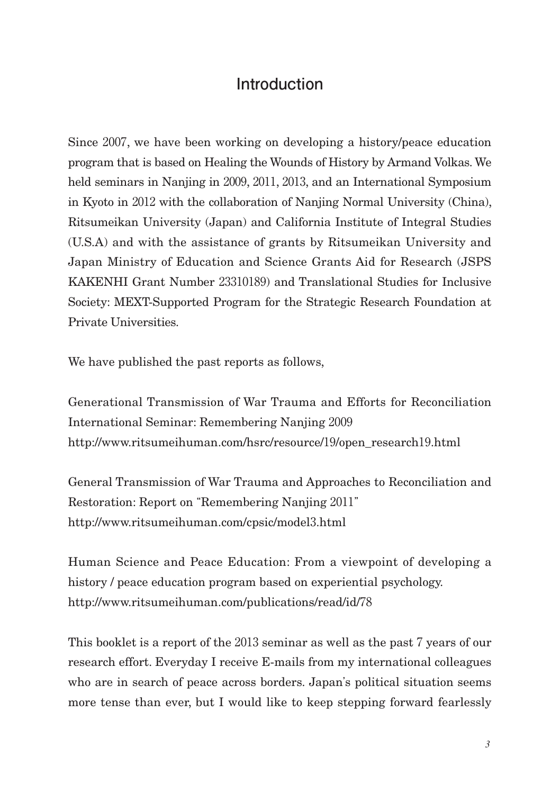## **Introduction**

Since 2007, we have been working on developing a history/peace education program that is based on Healing the Wounds of History by Armand Volkas. We held seminars in Nanjing in 2009, 2011, 2013, and an International Symposium in Kyoto in 2012 with the collaboration of Nanjing Normal University (China), Ritsumeikan University (Japan) and California Institute of Integral Studies (U.S.A) and with the assistance of grants by Ritsumeikan University and Japan Ministry of Education and Science Grants Aid for Research (JSPS KAKENHI Grant Number 23310189) and Translational Studies for Inclusive Society: MEXT-Supported Program for the Strategic Research Foundation at Private Universities.

We have published the past reports as follows,

Generational Transmission of War Trauma and Efforts for Reconciliation International Seminar: Remembering Nanjing 2009 http://www.ritsumeihuman.com/hsrc/resource/19/open\_research19.html

General Transmission of War Trauma and Approaches to Reconciliation and Restoration: Report on "Remembering Nanjing 2011" http://www.ritsumeihuman.com/cpsic/model3.html

Human Science and Peace Education: From a viewpoint of developing a history / peace education program based on experiential psychology. http://www.ritsumeihuman.com/publications/read/id/78

This booklet is a report of the 2013 seminar as well as the past 7 years of our research effort. Everyday I receive E-mails from my international colleagues who are in search of peace across borders. Japan's political situation seems more tense than ever, but I would like to keep stepping forward fearlessly